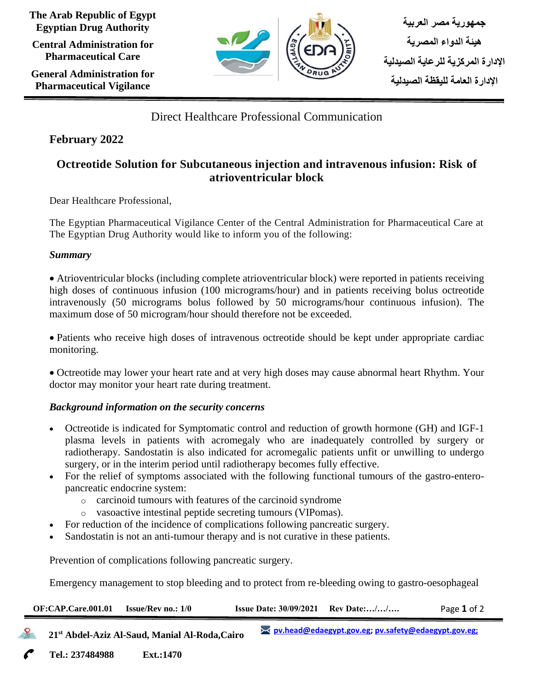**The Arab Republic of Egypt Egyptian Drug Authority**

**Central Administration for Pharmaceutical Care**

**General Administration for Pharmaceutical Vigilance**



Direct Healthcare Professional Communication

## **February 2022**

# **Octreotide Solution for Subcutaneous injection and intravenous infusion: Risk of atrioventricular block**

Dear Healthcare Professional,

The Egyptian Pharmaceutical Vigilance Center of the Central Administration for Pharmaceutical Care at The Egyptian Drug Authority would like to inform you of the following:

## *Summary*

• Atrioventricular blocks (including complete atrioventricular block) were reported in patients receiving high doses of continuous infusion (100 micrograms/hour) and in patients receiving bolus octreotide intravenously (50 micrograms bolus followed by 50 micrograms/hour continuous infusion). The maximum dose of 50 microgram/hour should therefore not be exceeded.

• Patients who receive high doses of intravenous octreotide should be kept under appropriate cardiac monitoring.

• Octreotide may lower your heart rate and at very high doses may cause abnormal heart Rhythm. Your doctor may monitor your heart rate during treatment.

## *Background information on the security concerns*

- Octreotide is indicated for Symptomatic control and reduction of growth hormone (GH) and IGF-1 plasma levels in patients with acromegaly who are inadequately controlled by surgery or radiotherapy. Sandostatin is also indicated for acromegalic patients unfit or unwilling to undergo surgery, or in the interim period until radiotherapy becomes fully effective.
- For the relief of symptoms associated with the following functional tumours of the gastro-enteropancreatic endocrine system:
	- o carcinoid tumours with features of the carcinoid syndrome
	- o vasoactive intestinal peptide secreting tumours (VIPomas).
- For reduction of the incidence of complications following pancreatic surgery.
- Sandostatin is not an anti-tumour therapy and is not curative in these patients.

Prevention of complications following pancreatic surgery.

Emergency management to stop bleeding and to protect from re-bleeding owing to gastro-oesophageal

| OF:CAP.Care.001.01                                         | <b>Issue/Rev no.: 1/0</b> | <b>Issue Date: 30/09/2021</b> | Rev Date://                                            | Page 1 of 2 |  |
|------------------------------------------------------------|---------------------------|-------------------------------|--------------------------------------------------------|-------------|--|
| 21 <sup>st</sup> Abdel-Aziz Al-Saud, Manial Al-Roda, Cairo |                           |                               | >< pv.head@edaegypt.gov.eg; pv.safety@edaegypt.gov.eg; |             |  |
| Tel.: 237484988                                            | <b>Ext.:1470</b>          |                               |                                                        |             |  |